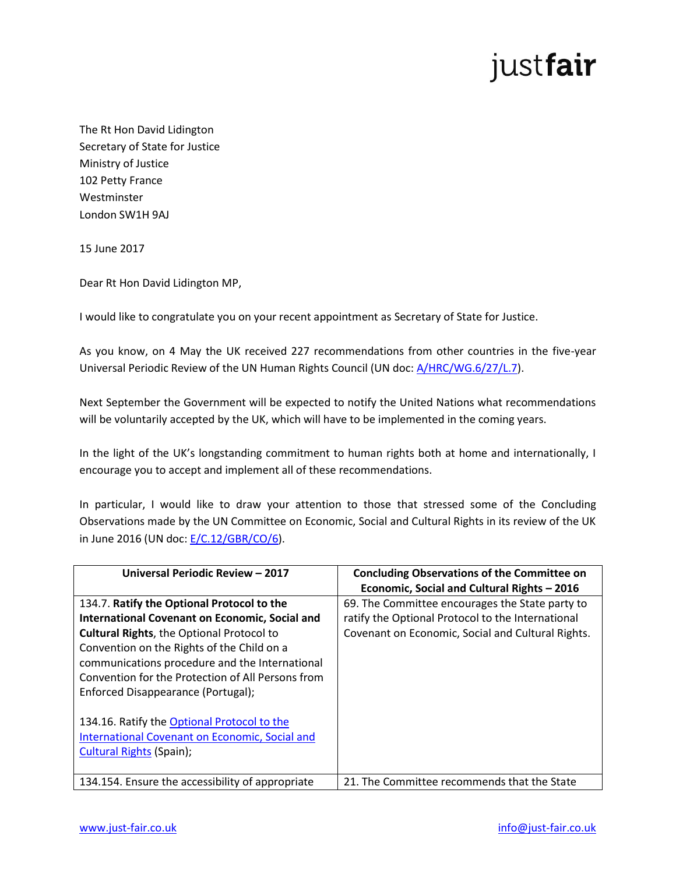## justfair

The Rt Hon David Lidington Secretary of State for Justice Ministry of Justice 102 Petty France Westminster London SW1H 9AJ

15 June 2017

Dear Rt Hon David Lidington MP,

I would like to congratulate you on your recent appointment as Secretary of State for Justice.

As you know, on 4 May the UK received 227 recommendations from other countries in the five-year Universal Periodic Review of the UN Human Rights Council (UN doc: [A/HRC/WG.6/27/L.7\)](https://www.upr-info.org/sites/default/files/document/united_kingdom/session_27_-_may_2017/a_hrc_wg.6_27_l.7.pdf).

Next September the Government will be expected to notify the United Nations what recommendations will be voluntarily accepted by the UK, which will have to be implemented in the coming years.

In the light of the UK's longstanding commitment to human rights both at home and internationally, I encourage you to accept and implement all of these recommendations.

In particular, I would like to draw your attention to those that stressed some of the Concluding Observations made by the UN Committee on Economic, Social and Cultural Rights in its review of the UK in June 2016 (UN doc: [E/C.12/GBR/CO/6\)](http://tbinternet.ohchr.org/_layouts/treatybodyexternal/Download.aspx?symbolno=E%2fC.12%2fGBR%2fCO%2f6&Lang=en).

| Universal Periodic Review - 2017                                                                                                                                                                                                                                                                                                                   | <b>Concluding Observations of the Committee on</b><br>Economic, Social and Cultural Rights - 2016                                                         |
|----------------------------------------------------------------------------------------------------------------------------------------------------------------------------------------------------------------------------------------------------------------------------------------------------------------------------------------------------|-----------------------------------------------------------------------------------------------------------------------------------------------------------|
| 134.7. Ratify the Optional Protocol to the<br><b>International Covenant on Economic, Social and</b><br><b>Cultural Rights, the Optional Protocol to</b><br>Convention on the Rights of the Child on a<br>communications procedure and the International<br>Convention for the Protection of All Persons from<br>Enforced Disappearance (Portugal); | 69. The Committee encourages the State party to<br>ratify the Optional Protocol to the International<br>Covenant on Economic, Social and Cultural Rights. |
| 134.16. Ratify the Optional Protocol to the<br>International Covenant on Economic, Social and<br><b>Cultural Rights (Spain);</b>                                                                                                                                                                                                                   |                                                                                                                                                           |
| 134.154. Ensure the accessibility of appropriate                                                                                                                                                                                                                                                                                                   | 21. The Committee recommends that the State                                                                                                               |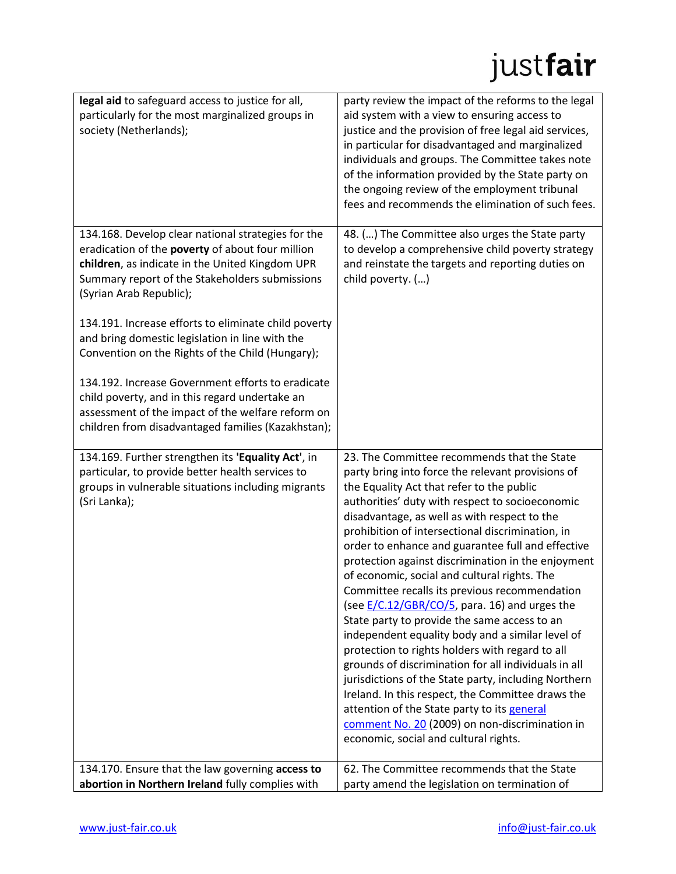## justfair

| legal aid to safeguard access to justice for all,                                                    | party review the impact of the reforms to the legal                                                     |
|------------------------------------------------------------------------------------------------------|---------------------------------------------------------------------------------------------------------|
| particularly for the most marginalized groups in                                                     | aid system with a view to ensuring access to                                                            |
| society (Netherlands);                                                                               | justice and the provision of free legal aid services,                                                   |
|                                                                                                      | in particular for disadvantaged and marginalized                                                        |
|                                                                                                      | individuals and groups. The Committee takes note                                                        |
|                                                                                                      | of the information provided by the State party on                                                       |
|                                                                                                      | the ongoing review of the employment tribunal<br>fees and recommends the elimination of such fees.      |
|                                                                                                      |                                                                                                         |
| 134.168. Develop clear national strategies for the                                                   | 48. () The Committee also urges the State party                                                         |
| eradication of the poverty of about four million                                                     | to develop a comprehensive child poverty strategy                                                       |
| children, as indicate in the United Kingdom UPR                                                      | and reinstate the targets and reporting duties on                                                       |
| Summary report of the Stakeholders submissions<br>(Syrian Arab Republic);                            | child poverty. ()                                                                                       |
|                                                                                                      |                                                                                                         |
| 134.191. Increase efforts to eliminate child poverty                                                 |                                                                                                         |
| and bring domestic legislation in line with the                                                      |                                                                                                         |
| Convention on the Rights of the Child (Hungary);                                                     |                                                                                                         |
| 134.192. Increase Government efforts to eradicate                                                    |                                                                                                         |
| child poverty, and in this regard undertake an                                                       |                                                                                                         |
| assessment of the impact of the welfare reform on                                                    |                                                                                                         |
| children from disadvantaged families (Kazakhstan);                                                   |                                                                                                         |
| 134.169. Further strengthen its 'Equality Act', in                                                   | 23. The Committee recommends that the State                                                             |
| particular, to provide better health services to                                                     | party bring into force the relevant provisions of                                                       |
| groups in vulnerable situations including migrants                                                   | the Equality Act that refer to the public                                                               |
| (Sri Lanka);                                                                                         | authorities' duty with respect to socioeconomic                                                         |
|                                                                                                      | disadvantage, as well as with respect to the<br>prohibition of intersectional discrimination, in        |
|                                                                                                      |                                                                                                         |
|                                                                                                      |                                                                                                         |
|                                                                                                      | order to enhance and guarantee full and effective<br>protection against discrimination in the enjoyment |
|                                                                                                      | of economic, social and cultural rights. The                                                            |
|                                                                                                      | Committee recalls its previous recommendation                                                           |
|                                                                                                      | (see <b>E/C.12/GBR/CO/5</b> , para. 16) and urges the                                                   |
|                                                                                                      | State party to provide the same access to an                                                            |
|                                                                                                      | independent equality body and a similar level of                                                        |
|                                                                                                      | protection to rights holders with regard to all<br>grounds of discrimination for all individuals in all |
|                                                                                                      | jurisdictions of the State party, including Northern                                                    |
|                                                                                                      | Ireland. In this respect, the Committee draws the                                                       |
|                                                                                                      | attention of the State party to its general                                                             |
|                                                                                                      | comment No. 20 (2009) on non-discrimination in                                                          |
|                                                                                                      | economic, social and cultural rights.                                                                   |
| 134.170. Ensure that the law governing access to<br>abortion in Northern Ireland fully complies with | 62. The Committee recommends that the State<br>party amend the legislation on termination of            |